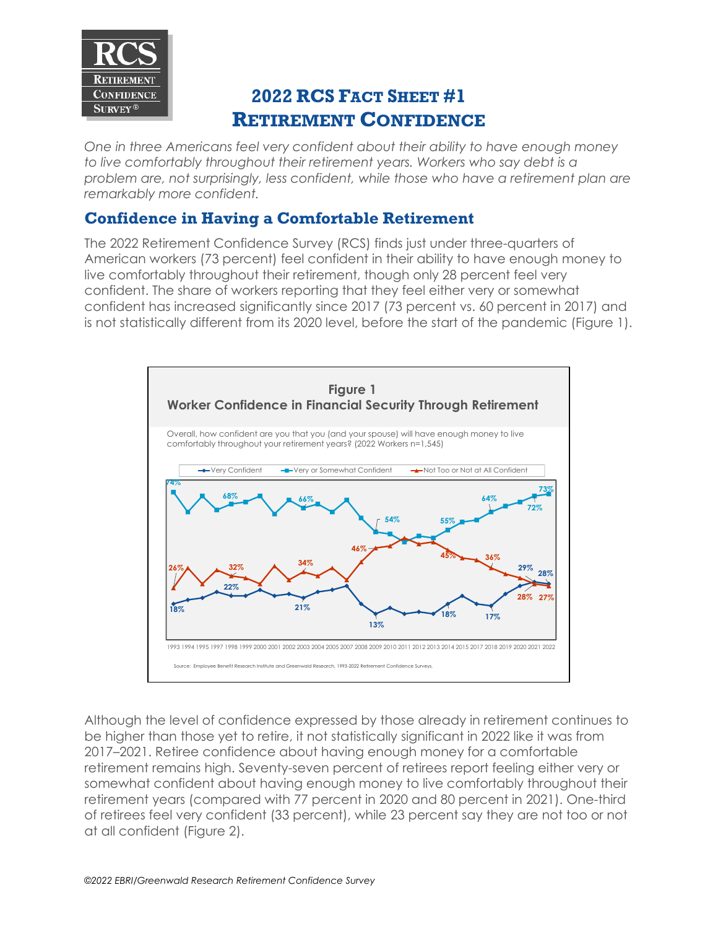

## **2022 RCS FACT SHEET #1 RETIREMENT CONFIDENCE**

*One in three Americans feel very confident about their ability to have enough money to live comfortably throughout their retirement years. Workers who say debt is a problem are, not surprisingly, less confident, while those who have a retirement plan are remarkably more confident.*

## **Confidence in Having a Comfortable Retirement**

The 2022 Retirement Confidence Survey (RCS) finds just under three-quarters of American workers (73 percent) feel confident in their ability to have enough money to live comfortably throughout their retirement, though only 28 percent feel very confident. The share of workers reporting that they feel either very or somewhat confident has increased significantly since 2017 (73 percent vs. 60 percent in 2017) and is not statistically different from its 2020 level, before the start of the pandemic (Figure 1).



Although the level of confidence expressed by those already in retirement continues to be higher than those yet to retire, it not statistically significant in 2022 like it was from 2017–2021. Retiree confidence about having enough money for a comfortable retirement remains high. Seventy-seven percent of retirees report feeling either very or somewhat confident about having enough money to live comfortably throughout their retirement years (compared with 77 percent in 2020 and 80 percent in 2021). One-third of retirees feel very confident (33 percent), while 23 percent say they are not too or not at all confident (Figure 2).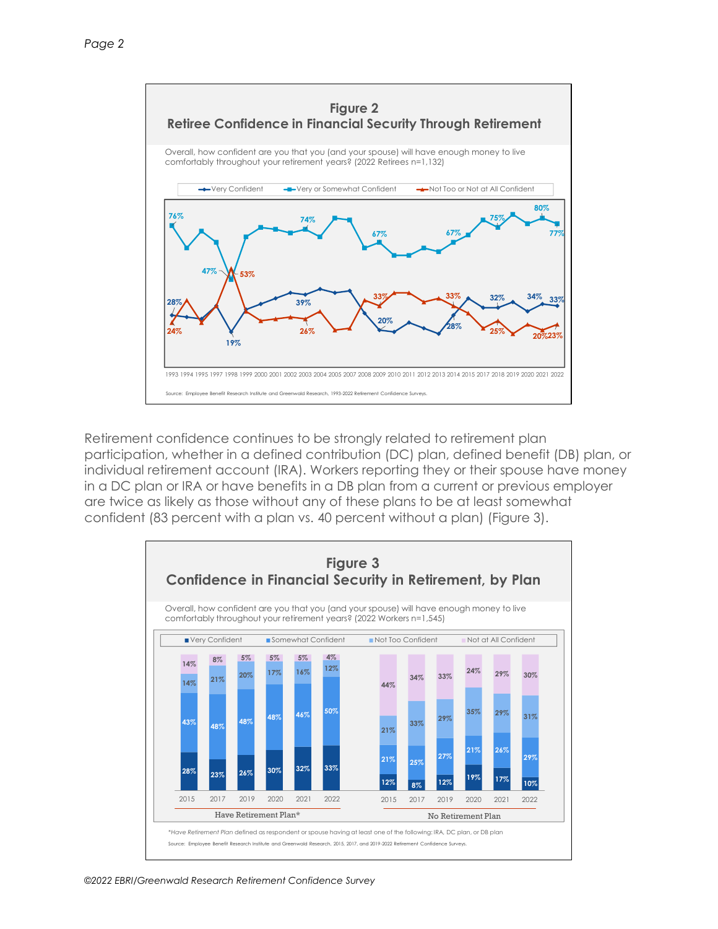

Retirement confidence continues to be strongly related to retirement plan participation, whether in a defined contribution (DC) plan, defined benefit (DB) plan, or individual retirement account (IRA). Workers reporting they or their spouse have money in a DC plan or IRA or have benefits in a DB plan from a current or previous employer are twice as likely as those without any of these plans to be at least somewhat confident (83 percent with a plan vs. 40 percent without a plan) (Figure 3).

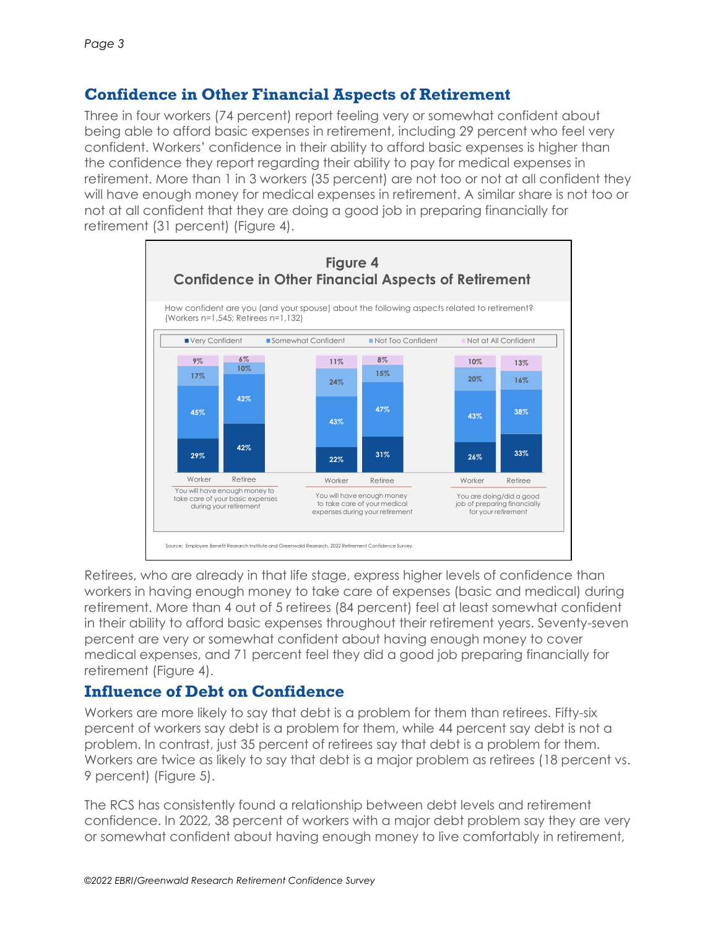## **Confidence in Other Financial Aspects of Retirement**

Three in four workers (74 percent) report feeling very or somewhat confident about being able to afford basic expenses in retirement, including 29 percent who feel very confident. Workers' confidence in their ability to afford basic expenses is higher than the confidence they report regarding their ability to pay for medical expenses in retirement. More than 1 in 3 workers (35 percent) are not too or not at all confident they will have enough money for medical expenses in retirement. A similar share is not too or not at all confident that they are doing a good job in preparing financially for retirement (31 percent) (Figure 4).



Retirees, who are already in that life stage, express higher levels of confidence than workers in having enough money to take care of expenses (basic and medical) during retirement. More than 4 out of 5 retirees (84 percent) feel at least somewhat confident in their ability to afford basic expenses throughout their retirement years. Seventy-seven percent are very or somewhat confident about having enough money to cover medical expenses, and 71 percent feel they did a good job preparing financially for retirement (Figure 4).

## **Influence of Debt on Confidence**

Workers are more likely to say that debt is a problem for them than retirees. Fifty-six percent of workers say debt is a problem for them, while 44 percent say debt is not a problem. In contrast, just 35 percent of retirees say that debt is a problem for them. Workers are twice as likely to say that debt is a major problem as retirees (18 percent vs. 9 percent) (Figure 5).

The RCS has consistently found a relationship between debt levels and retirement confidence. In 2022, 38 percent of workers with a major debt problem say they are very or somewhat confident about having enough money to live comfortably in retirement,